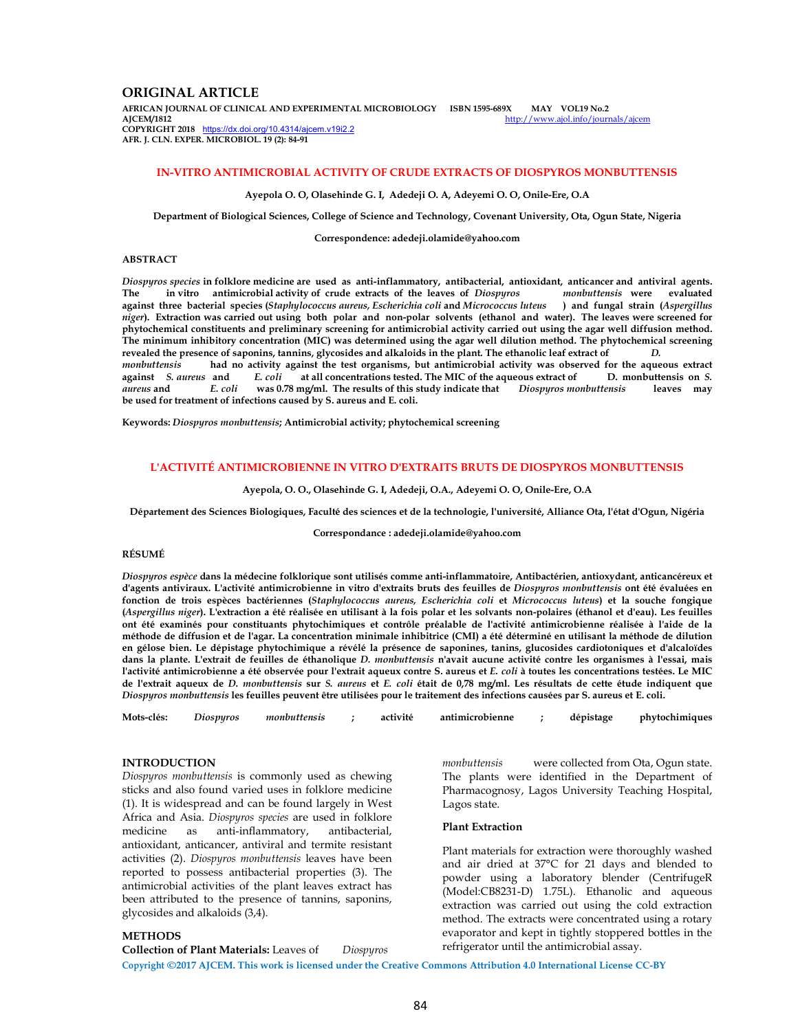# **ORIGINAL ARTICLE**

**AFRICAN JOURNAL OF CLINICAL AND EXPERIMENTAL MICROBIOLOGY ISBN 1595-689X MAY VOL19 No.2**  http://www.ajol.info/journals/ajcem **COPYRIGHT 2018** https://dx.doi.org/10.4314/ajcem.v19i2.2 **AFR. J. CLN. EXPER. MICROBIOL. 19 (2): 84-91**

## **IN-VITRO ANTIMICROBIAL ACTIVITY OF CRUDE EXTRACTS OF DIOSPYROS MONBUTTENSIS**

**Ayepola O. O, Olasehinde G. I, Adedeji O. A, Adeyemi O. O, Onile-Ere, O.A** 

**Department of Biological Sciences, College of Science and Technology, Covenant University, Ota, Ogun State, Nigeria** 

**Correspondence: adedeji.olamide@yahoo.com** 

## **ABSTRACT**

*Diospyros species* **in folklore medicine are used as anti-inflammatory, antibacterial, antioxidant, anticancer and antiviral agents. The in vitro antimicrobial activity of crude extracts of the leaves of** *Diospyros monbuttensis* **were evaluated against three bacterial species (***Staphylococcus aureus, Escherichia coli* **and** *Micrococcus luteus* **) and fungal strain (***Aspergillus niger***). Extraction was carried out using both polar and non-polar solvents (ethanol and water). The leaves were screened for phytochemical constituents and preliminary screening for antimicrobial activity carried out using the agar well diffusion method. The minimum inhibitory concentration (MIC) was determined using the agar well dilution method. The phytochemical screening revealed the presence of saponins, tannins, glycosides and alkaloids in the plant. The ethanolic leaf extract of** *D. monbuttensis* had no activity against the test organisms, but antimicrobial activity was observed for the aqueous extract against *S. aureus* and *E. coli* at all concentrations tested. The MIC of the aqueous extract of D **against** *S. aureus* **and** *E. coli* **at all concentrations tested. The MIC of the aqueous extract of D. monbuttensis on** *S. was* 0.78 mg/ml. The results of this study indicate that *Diospyros monbuttensis* leaves may **be used for treatment of infections caused by S. aureus and E. coli.** 

**Keywords:** *Diospyros monbuttensis***; Antimicrobial activity; phytochemical screening** 

#### **L'ACTIVITÉ ANTIMICROBIENNE IN VITRO D'EXTRAITS BRUTS DE DIOSPYROS MONBUTTENSIS**

#### **Ayepola, O. O., Olasehinde G. I, Adedeji, O.A., Adeyemi O. O, Onile-Ere, O.A**

**Département des Sciences Biologiques, Faculté des sciences et de la technologie, l'université, Alliance Ota, l'état d'Ogun, Nigéria** 

**Correspondance : adedeji.olamide@yahoo.com** 

### **RÉSUMÉ**

*Diospyros espèce* **dans la médecine folklorique sont utilisés comme anti-inflammatoire, Antibactérien, antioxydant, anticancéreux et d'agents antiviraux. L'activité antimicrobienne in vitro d'extraits bruts des feuilles de** *Diospyros monbuttensis* **ont été évaluées en fonction de trois espèces bactériennes (***Staphylococcus aureus, Escherichia coli* **et** *Micrococcus luteus***) et la souche fongique (***Aspergillus niger***). L'extraction a été réalisée en utilisant à la fois polar et les solvants non-polaires (éthanol et d'eau). Les feuilles ont été examinés pour constituants phytochimiques et contrôle préalable de l'activité antimicrobienne réalisée à l'aide de la méthode de diffusion et de l'agar. La concentration minimale inhibitrice (CMI) a été déterminé en utilisant la méthode de dilution en gélose bien. Le dépistage phytochimique a révélé la présence de saponines, tanins, glucosides cardiotoniques et d'alcaloïdes dans la plante. L'extrait de feuilles de éthanolique** *D. monbuttensis* **n'avait aucune activité contre les organismes à l'essai, mais l'activité antimicrobienne a été observée pour l'extrait aqueux contre S. aureus et** *E. coli* **à toutes les concentrations testées. Le MIC de l'extrait aqueux de** *D. monbuttensis* **sur** *S. aureus* **et** *E. coli* **était de 0,78 mg/ml. Les résultats de cette étude indiquent que**  *Diospyros monbuttensis* **les feuilles peuvent être utilisées pour le traitement des infections causées par S. aureus et E. coli.** 

|  | Mots-clés: Diospyros | monbuttensis ; |  | activité | antimicrobienne |  | dépistage | phytochimiques |
|--|----------------------|----------------|--|----------|-----------------|--|-----------|----------------|
|--|----------------------|----------------|--|----------|-----------------|--|-----------|----------------|

### **INTRODUCTION**

**METHODS** 

*Diospyros monbuttensis* is commonly used as chewing sticks and also found varied uses in folklore medicine (1). It is widespread and can be found largely in West Africa and Asia. *Diospyros species* are used in folklore medicine as anti-inflammatory, antibacterial, antioxidant, anticancer, antiviral and termite resistant activities (2). *Diospyros monbuttensis* leaves have been reported to possess antibacterial properties (3). The antimicrobial activities of the plant leaves extract has been attributed to the presence of tannins, saponins, glycosides and alkaloids (3,4).

**Collection of Plant Materials:** Leaves of *Diospyros* 

*monbuttensis* were collected from Ota, Ogun state. The plants were identified in the Department of Pharmacognosy, Lagos University Teaching Hospital, Lagos state.

#### **Plant Extraction**

Plant materials for extraction were thoroughly washed and air dried at 37°C for 21 days and blended to powder using a laboratory blender (CentrifugeR (Model:CB8231-D) 1.75L). Ethanolic and aqueous extraction was carried out using the cold extraction method. The extracts were concentrated using a rotary evaporator and kept in tightly stoppered bottles in the refrigerator until the antimicrobial assay.

**Copyright ©2017 AJCEM. This work is licensed under the Creative Commons Attribution 4.0 International License CC-BY**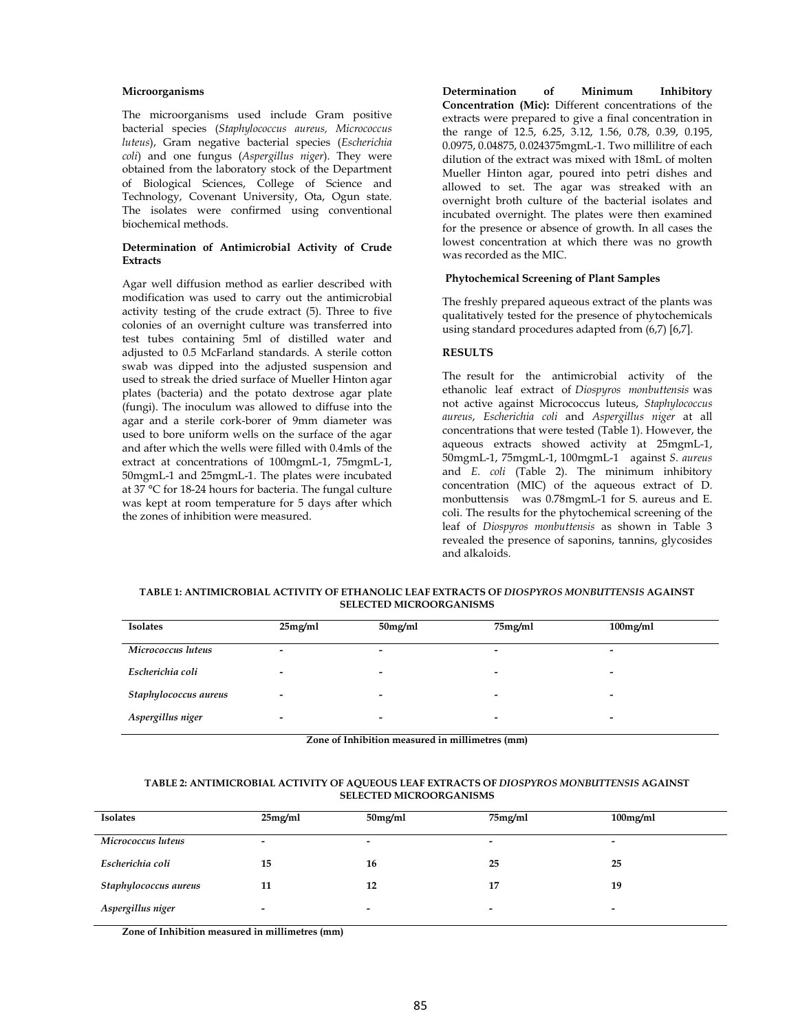### **Microorganisms**

The microorganisms used include Gram positive bacterial species (*Staphylococcus aureus, Micrococcus luteus*), Gram negative bacterial species (*Escherichia coli*) and one fungus (*Aspergillus niger*). They were obtained from the laboratory stock of the Department of Biological Sciences, College of Science and Technology, Covenant University, Ota, Ogun state. The isolates were confirmed using conventional biochemical methods.

## **Determination of Antimicrobial Activity of Crude Extracts**

Agar well diffusion method as earlier described with modification was used to carry out the antimicrobial activity testing of the crude extract (5). Three to five colonies of an overnight culture was transferred into test tubes containing 5ml of distilled water and adjusted to 0.5 McFarland standards. A sterile cotton swab was dipped into the adjusted suspension and used to streak the dried surface of Mueller Hinton agar plates (bacteria) and the potato dextrose agar plate (fungi). The inoculum was allowed to diffuse into the agar and a sterile cork-borer of 9mm diameter was used to bore uniform wells on the surface of the agar and after which the wells were filled with 0.4mls of the extract at concentrations of 100mgmL-1, 75mgmL-1, 50mgmL-1 and 25mgmL-1. The plates were incubated at 37 °C for 18-24 hours for bacteria. The fungal culture was kept at room temperature for 5 days after which the zones of inhibition were measured.

**Determination of Minimum Inhibitory Concentration (Mic):** Different concentrations of the extracts were prepared to give a final concentration in the range of 12.5, 6.25, 3.12, 1.56, 0.78, 0.39, 0.195, 0.0975, 0.04875, 0.024375mgmL-1. Two millilitre of each dilution of the extract was mixed with 18mL of molten Mueller Hinton agar, poured into petri dishes and allowed to set. The agar was streaked with an overnight broth culture of the bacterial isolates and incubated overnight. The plates were then examined for the presence or absence of growth. In all cases the lowest concentration at which there was no growth was recorded as the MIC.

## **Phytochemical Screening of Plant Samples**

The freshly prepared aqueous extract of the plants was qualitatively tested for the presence of phytochemicals using standard procedures adapted from (6,7) [6,7].

## **RESULTS**

The result for the antimicrobial activity of the ethanolic leaf extract of *Diospyros monbuttensis* was not active against Micrococcus luteus, *Staphylococcus aureus*, *Escherichia coli* and *Aspergillus niger* at all concentrations that were tested (Table 1). However, the aqueous extracts showed activity at 25mgmL-1, 50mgmL-1, 75mgmL-1, 100mgmL-1 against *S. aureus* and *E. coli* (Table 2). The minimum inhibitory concentration (MIC) of the aqueous extract of D. monbuttensis was 0.78mgmL-1 for S. aureus and E. coli. The results for the phytochemical screening of the leaf of *Diospyros monbuttensis* as shown in Table 3 revealed the presence of saponins, tannins, glycosides and alkaloids.

**TABLE 1: ANTIMICROBIAL ACTIVITY OF ETHANOLIC LEAF EXTRACTS OF** *DIOSPYROS MONBUTTENSIS* **AGAINST SELECTED MICROORGANISMS** 

| <b>Isolates</b>       | 25mg/ml                  | $50$ mg/ml               | 75mg/ml                  | $100$ mg/ml              |
|-----------------------|--------------------------|--------------------------|--------------------------|--------------------------|
| Micrococcus luteus    | -                        | $\overline{\phantom{a}}$ | -                        | $\overline{\phantom{0}}$ |
| Escherichia coli      |                          | $\,$                     | -                        | -                        |
| Staphylococcus aureus | $\overline{\phantom{a}}$ | $\overline{\phantom{a}}$ | $\overline{\phantom{0}}$ | $\overline{\phantom{0}}$ |
| Aspergillus niger     | $\overline{\phantom{0}}$ | $\,$                     | $\overline{\phantom{0}}$ | -                        |

**Zone of Inhibition measured in millimetres (mm)** 

### **TABLE 2: ANTIMICROBIAL ACTIVITY OF AQUEOUS LEAF EXTRACTS OF** *DIOSPYROS MONBUTTENSIS* **AGAINST SELECTED MICROORGANISMS**

| <b>Isolates</b>       | 25mg/ml                  | 50mg/ml                  | 75mg/ml                  | $100$ mg/ml              |
|-----------------------|--------------------------|--------------------------|--------------------------|--------------------------|
| Micrococcus luteus    | -                        | $\overline{\phantom{0}}$ | -                        | $\overline{\phantom{0}}$ |
| Escherichia coli      | 15                       | 16                       | 25                       | 25                       |
| Staphylococcus aureus | 11                       | 12                       | 17                       | 19                       |
| Aspergillus niger     | $\overline{\phantom{0}}$ | $\overline{\phantom{a}}$ | $\overline{\phantom{0}}$ | $\overline{\phantom{0}}$ |

**Zone of Inhibition measured in millimetres (mm)**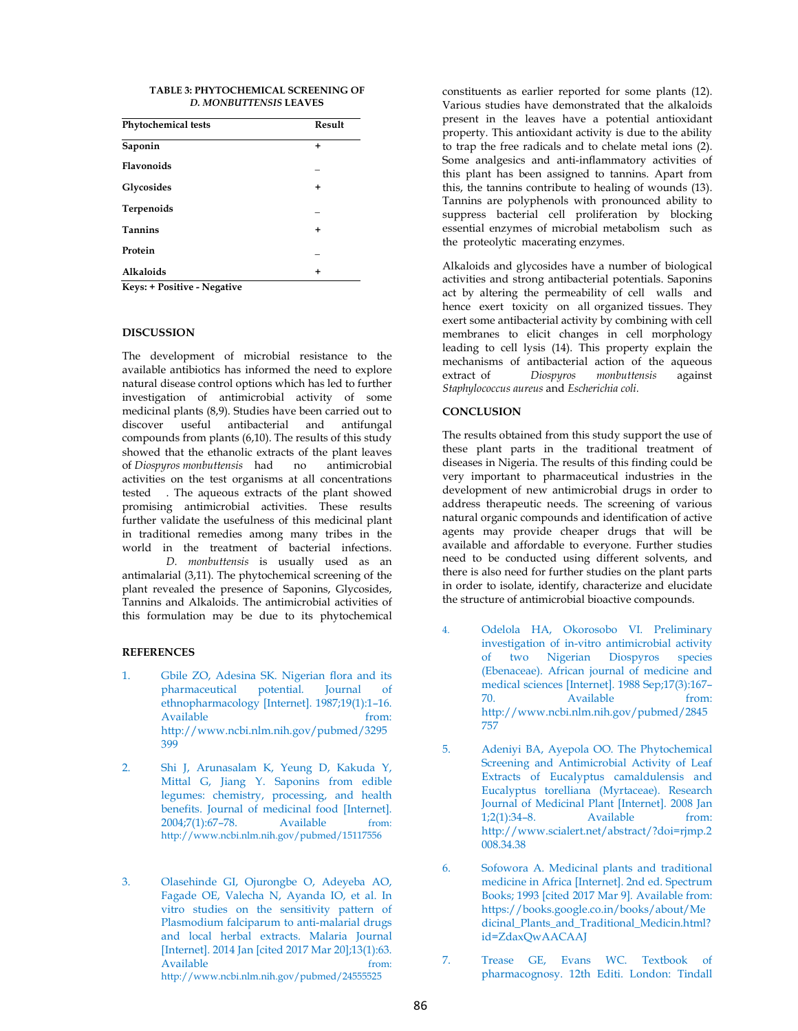### **TABLE 3: PHYTOCHEMICAL SCREENING OF**  *D. MONBUTTENSIS* **LEAVES**

| <b>Phytochemical tests</b>  | Result    |  |
|-----------------------------|-----------|--|
| Saponin                     | ÷         |  |
| <b>Flavonoids</b>           |           |  |
| Glycosides                  | +         |  |
| Terpenoids                  |           |  |
| <b>Tannins</b>              | $\ddot{}$ |  |
| Protein                     |           |  |
| <b>Alkaloids</b>            | $\ddot{}$ |  |
| Keys: + Positive - Negative |           |  |

### **DISCUSSION**

The development of microbial resistance to the available antibiotics has informed the need to explore natural disease control options which has led to further investigation of antimicrobial activity of some medicinal plants (8,9). Studies have been carried out to discover useful antibacterial and antifungal compounds from plants (6,10). The results of this study showed that the ethanolic extracts of the plant leaves of *Diospyros monbuttensis* had no antimicrobial activities on the test organisms at all concentrations tested . The aqueous extracts of the plant showed promising antimicrobial activities. These results further validate the usefulness of this medicinal plant in traditional remedies among many tribes in the world in the treatment of bacterial infections. *D. monbuttensis* is usually used as an antimalarial (3,11). The phytochemical screening of the plant revealed the presence of Saponins, Glycosides,

### **REFERENCES**

1. Gbile ZO, Adesina SK. Nigerian flora and its pharmaceutical potential. Journal of ethnopharmacology [Internet]. 1987;19(1):1–16. Available from: http://www.ncbi.nlm.nih.gov/pubmed/3295 399

Tannins and Alkaloids. The antimicrobial activities of this formulation may be due to its phytochemical

- 2. Shi J, Arunasalam K, Yeung D, Kakuda Y, Mittal G, Jiang Y. Saponins from edible legumes: chemistry, processing, and health benefits. Journal of medicinal food [Internet].<br>2004:7(1):67-78. Available from: 2004;7(1):67–78. Available from: http://www.ncbi.nlm.nih.gov/pubmed/15117556
- 3. Olasehinde GI, Ojurongbe O, Adeyeba AO, Fagade OE, Valecha N, Ayanda IO, et al. In vitro studies on the sensitivity pattern of Plasmodium falciparum to anti-malarial drugs and local herbal extracts. Malaria Journal [Internet]. 2014 Jan [cited 2017 Mar 20];13(1):63. Available from: http://www.ncbi.nlm.nih.gov/pubmed/24555525

constituents as earlier reported for some plants (12). Various studies have demonstrated that the alkaloids present in the leaves have a potential antioxidant property. This antioxidant activity is due to the ability to trap the free radicals and to chelate metal ions (2). Some analgesics and anti-inflammatory activities of this plant has been assigned to tannins. Apart from this, the tannins contribute to healing of wounds (13). Tannins are polyphenols with pronounced ability to suppress bacterial cell proliferation by blocking essential enzymes of microbial metabolism such as the proteolytic macerating enzymes.

Alkaloids and glycosides have a number of biological activities and strong antibacterial potentials. Saponins act by altering the permeability of cell walls and hence exert toxicity on all organized tissues. They exert some antibacterial activity by combining with cell membranes to elicit changes in cell morphology leading to cell lysis (14). This property explain the mechanisms of antibacterial action of the aqueous extract of *Diospyros monbuttensis* against *Staphylococcus aureus* and *Escherichia coli.*

## **CONCLUSION**

The results obtained from this study support the use of these plant parts in the traditional treatment of diseases in Nigeria. The results of this finding could be very important to pharmaceutical industries in the development of new antimicrobial drugs in order to address therapeutic needs. The screening of various natural organic compounds and identification of active agents may provide cheaper drugs that will be available and affordable to everyone. Further studies need to be conducted using different solvents, and there is also need for further studies on the plant parts in order to isolate, identify, characterize and elucidate the structure of antimicrobial bioactive compounds.

- 4. Odelola HA, Okorosobo VI. Preliminary investigation of in-vitro antimicrobial activity of two Nigerian Diospyros species (Ebenaceae). African journal of medicine and medical sciences [Internet]. 1988 Sep;17(3):167– 70. Available from: http://www.ncbi.nlm.nih.gov/pubmed/2845 757
- 5. Adeniyi BA, Ayepola OO. The Phytochemical Screening and Antimicrobial Activity of Leaf Extracts of Eucalyptus camaldulensis and Eucalyptus torelliana (Myrtaceae). Research Journal of Medicinal Plant [Internet]. 2008 Jan 1;2(1):34–8. Available from: http://www.scialert.net/abstract/?doi=rjmp.2 008.34.38
- 6. Sofowora A. Medicinal plants and traditional medicine in Africa [Internet]. 2nd ed. Spectrum Books; 1993 [cited 2017 Mar 9]. Available from: https://books.google.co.in/books/about/Me dicinal\_Plants\_and\_Traditional\_Medicin.html? id=ZdaxQwAACAAJ
- 7. Trease GE, Evans WC. Textbook of pharmacognosy. 12th Editi. London: Tindall